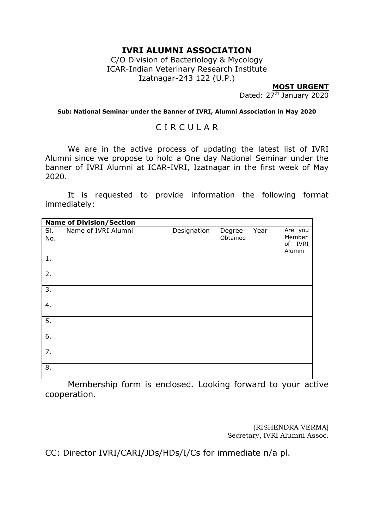# **IVRI ALUMNI ASSOCIATION**

C/O Division of Bacteriology & Mycology ICAR-Indian Veterinary Research Institute Izatnagar-243 122 (U.P.)

**MOST URGENT**

Dated: 27<sup>th</sup> January 2020

**Sub: National Seminar under the Banner of IVRI, Alumni Association in May 2020**

# C I R C U L A R

We are in the active process of updating the latest list of IVRI Alumni since we propose to hold a One day National Seminar under the banner of IVRI Alumni at ICAR-IVRI, Izatnagar in the first week of May 2020.

It is requested to provide information the following format immediately:

|                  | <b>Name of Division/Section</b> |             |                    |      |                                        |
|------------------|---------------------------------|-------------|--------------------|------|----------------------------------------|
| SI.<br>No.       | Name of IVRI Alumni             | Designation | Degree<br>Obtained | Year | Are you<br>Member<br>of IVRI<br>Alumni |
| 1.               |                                 |             |                    |      |                                        |
| $\overline{2}$ . |                                 |             |                    |      |                                        |
| 3.               |                                 |             |                    |      |                                        |
| $\overline{4}$ . |                                 |             |                    |      |                                        |
| 5.               |                                 |             |                    |      |                                        |
| 6.               |                                 |             |                    |      |                                        |
| 7.               |                                 |             |                    |      |                                        |
| 8.               |                                 |             |                    |      |                                        |

Membership form is enclosed. Looking forward to your active cooperation.

> [RISHENDRA VERMA] Secretary, IVRI Alumni Assoc.

CC: Director IVRI/CARI/JDs/HDs/I/Cs for immediate n/a pl.